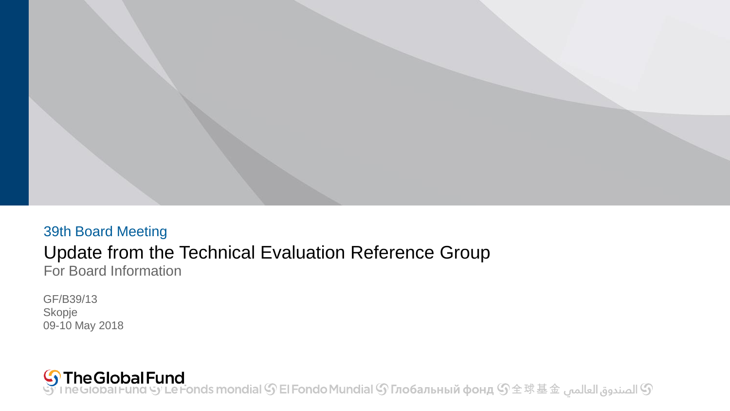

#### 39th Board Meeting Update from the Technical Evaluation Reference Group For Board Information

GF/B39/13 Skopje 09-10 May 2018

• الصندوق العالمي IneGlobal Fund الصندوق العالمي هي IneGlobal Fund الصندوق العالمي هي IneGlobal Fund و الصندوق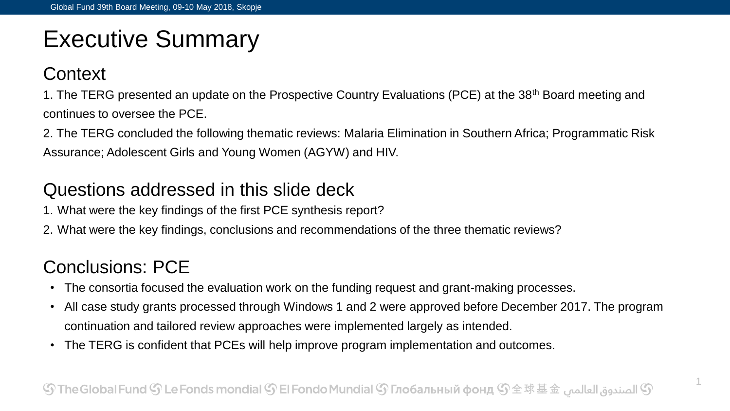# Executive Summary

#### **Context**

1. The TERG presented an update on the Prospective Country Evaluations (PCE) at the 38<sup>th</sup> Board meeting and continues to oversee the PCE.

2. The TERG concluded the following thematic reviews: Malaria Elimination in Southern Africa; Programmatic Risk Assurance; Adolescent Girls and Young Women (AGYW) and HIV.

#### Questions addressed in this slide deck

- 1. What were the key findings of the first PCE synthesis report?
- 2. What were the key findings, conclusions and recommendations of the three thematic reviews?

### Conclusions: PCE

- The consortia focused the evaluation work on the funding request and grant-making processes.
- All case study grants processed through Windows 1 and 2 were approved before December 2017. The program continuation and tailored review approaches were implemented largely as intended.
- The TERG is confident that PCEs will help improve program implementation and outcomes.

1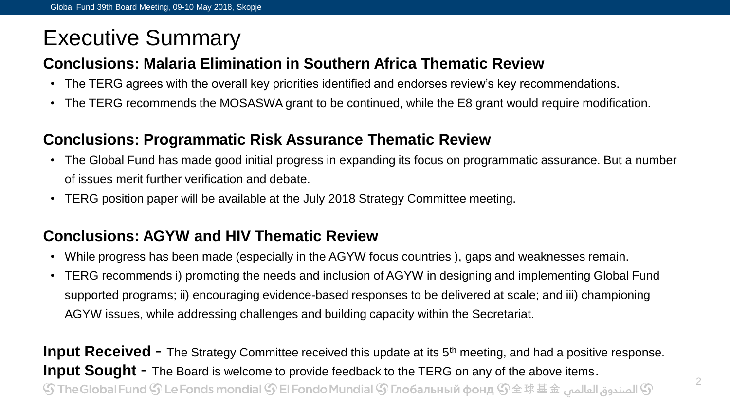## Executive Summary

#### **Conclusions: Malaria Elimination in Southern Africa Thematic Review**

- The TERG agrees with the overall key priorities identified and endorses review's key recommendations.
- The TERG recommends the MOSASWA grant to be continued, while the E8 grant would require modification.

#### **Conclusions: Programmatic Risk Assurance Thematic Review**

- The Global Fund has made good initial progress in expanding its focus on programmatic assurance. But a number of issues merit further verification and debate.
- TERG position paper will be available at the July 2018 Strategy Committee meeting.

#### **Conclusions: AGYW and HIV Thematic Review**

- While progress has been made (especially in the AGYW focus countries ), gaps and weaknesses remain.
- TERG recommends i) promoting the needs and inclusion of AGYW in designing and implementing Global Fund supported programs; ii) encouraging evidence-based responses to be delivered at scale; and iii) championing AGYW issues, while addressing challenges and building capacity within the Secretariat.

**Input Received** - The Strategy Committee received this update at its 5<sup>th</sup> meeting, and had a positive response. **Input Sought** - The Board is welcome to provide feedback to the TERG on any of the above items.  ${\mathbb S}$  الصندوق العالمي  ${\mathbb S}$  The Global Fund  ${\mathbb S}$  Le Fonds mondial  ${\mathbb S}$  El Fondo Mundial  ${\mathbb S}$  Глобальный фонд  ${\mathbb S}$   $\pm$   $\mathbb R$   $\pm$   $\pm$   $\pm$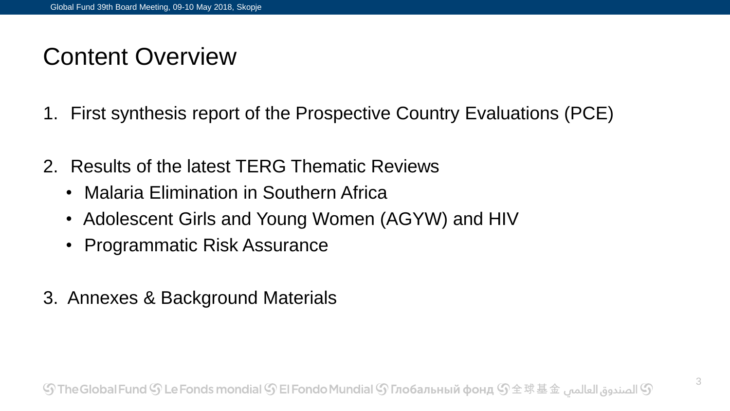# Content Overview

- 1. First synthesis report of the Prospective Country Evaluations (PCE)
- 2. Results of the latest TERG Thematic Reviews
	- Malaria Elimination in Southern Africa
	- Adolescent Girls and Young Women (AGYW) and HIV
	- Programmatic Risk Assurance
- 3. Annexes & Background Materials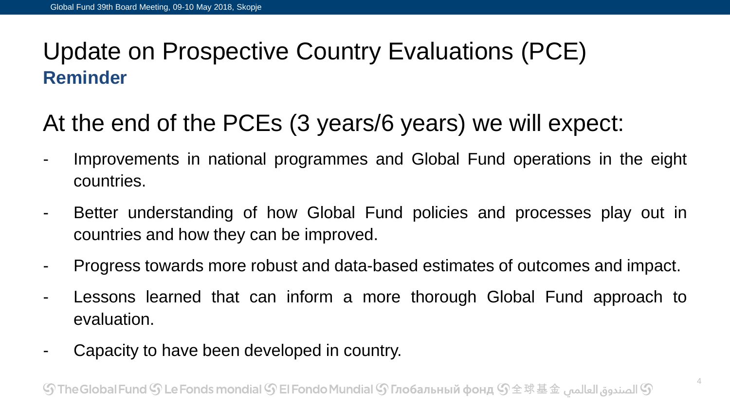## Update on Prospective Country Evaluations (PCE) **Reminder**

## At the end of the PCEs (3 years/6 years) we will expect:

- Improvements in national programmes and Global Fund operations in the eight countries.
- Better understanding of how Global Fund policies and processes play out in countries and how they can be improved.
- Progress towards more robust and data-based estimates of outcomes and impact.
- Lessons learned that can inform a more thorough Global Fund approach to evaluation.
- Capacity to have been developed in country.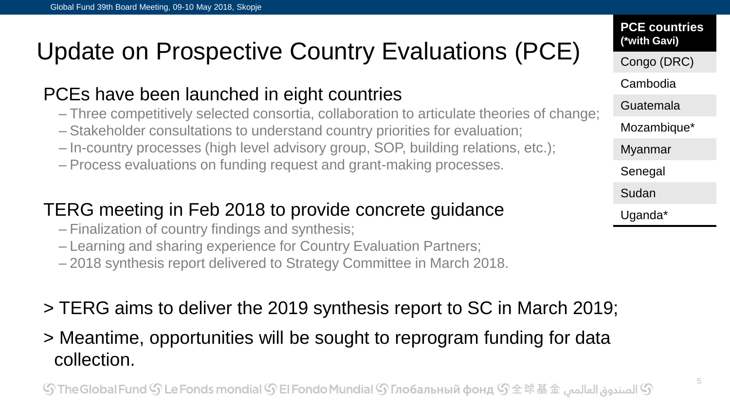# Update on Prospective Country Evaluations (PCE)

### PCEs have been launched in eight countries

- Three competitively selected consortia, collaboration to articulate theories of change;
- Stakeholder consultations to understand country priorities for evaluation;
- In-country processes (high level advisory group, SOP, building relations, etc.);
- Process evaluations on funding request and grant-making processes.

### TERG meeting in Feb 2018 to provide concrete guidance

- Finalization of country findings and synthesis;
- Learning and sharing experience for Country Evaluation Partners;
- 2018 synthesis report delivered to Strategy Committee in March 2018.
- > TERG aims to deliver the 2019 synthesis report to SC in March 2019;
- > Meantime, opportunities will be sought to reprogram funding for data collection.

### Cambodia Guatemala Mozambique\* Myanmar Senegal **Sudan** Uganda\*

**PCE countries (\*with Gavi)**

Congo (DRC)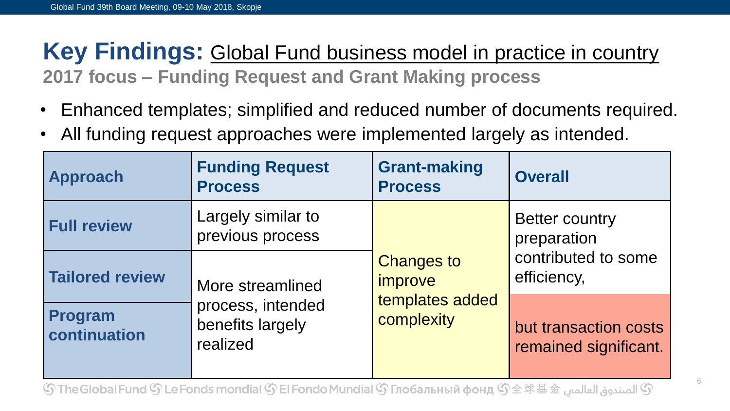## **Key Findings:** Global Fund business model in practice in country **2017 focus – Funding Request and Grant Making process**

- Enhanced templates; simplified and reduced number of documents required.
- All funding request approaches were implemented largely as intended.

| <b>Approach</b>         | <b>Funding Request</b><br><b>Process</b>                              | <b>Grant-making</b><br><b>Process</b>                         | <b>Overall</b>                                                             |
|-------------------------|-----------------------------------------------------------------------|---------------------------------------------------------------|----------------------------------------------------------------------------|
| <b>Full review</b>      | Largely similar to<br>previous process                                | <b>Changes to</b><br>improve<br>templates added<br>complexity | <b>Better country</b><br>preparation<br>contributed to some<br>efficiency, |
| <b>Tailored review</b>  | More streamlined<br>process, intended<br>benefits largely<br>realized |                                                               |                                                                            |
| Program<br>continuation |                                                                       |                                                               | but transaction costs<br>remained significant.                             |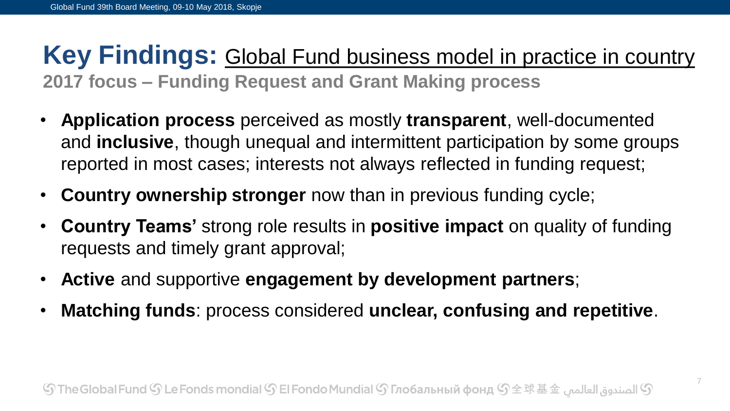## **Key Findings:** Global Fund business model in practice in country **2017 focus – Funding Request and Grant Making process**

- **Application process** perceived as mostly **transparent**, well-documented and **inclusive**, though unequal and intermittent participation by some groups reported in most cases; interests not always reflected in funding request;
- **Country ownership stronger** now than in previous funding cycle;
- **Country Teams'** strong role results in **positive impact** on quality of funding requests and timely grant approval;
- **Active** and supportive **engagement by development partners**;
- **Matching funds**: process considered **unclear, confusing and repetitive**.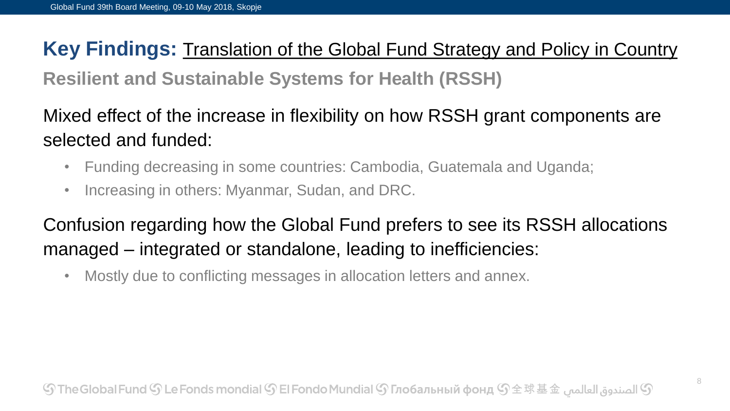## **Key Findings:** Translation of the Global Fund Strategy and Policy in Country

**Resilient and Sustainable Systems for Health (RSSH)**

Mixed effect of the increase in flexibility on how RSSH grant components are selected and funded:

- Funding decreasing in some countries: Cambodia, Guatemala and Uganda;
- Increasing in others: Myanmar, Sudan, and DRC.

### Confusion regarding how the Global Fund prefers to see its RSSH allocations managed – integrated or standalone, leading to inefficiencies:

• Mostly due to conflicting messages in allocation letters and annex.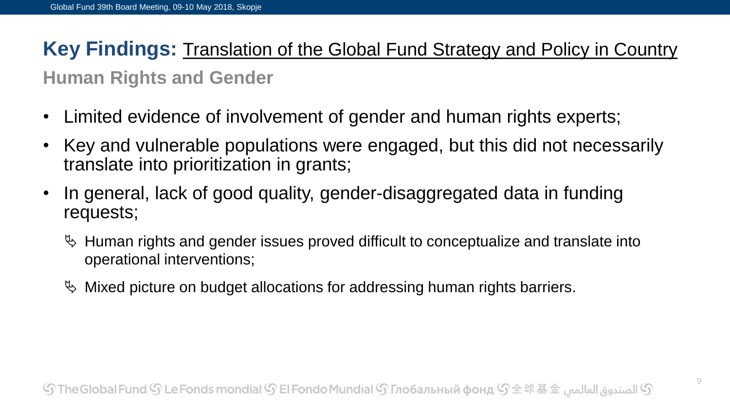### **Key Findings:** Translation of the Global Fund Strategy and Policy in Country

#### **Human Rights and Gender**

- Limited evidence of involvement of gender and human rights experts;
- Key and vulnerable populations were engaged, but this did not necessarily translate into prioritization in grants;
- In general, lack of good quality, gender-disaggregated data in funding requests;
	- $\%$  Human rights and gender issues proved difficult to conceptualize and translate into operational interventions;
	- $\%$  Mixed picture on budget allocations for addressing human rights barriers.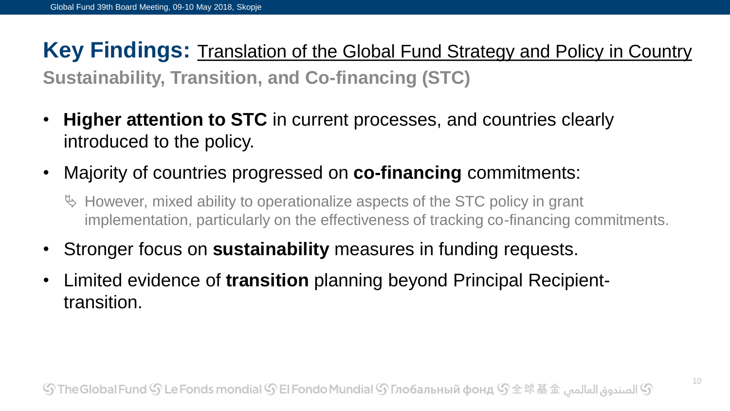### **Key Findings:** Translation of the Global Fund Strategy and Policy in Country **Sustainability, Transition, and Co-financing (STC)**

- **Higher attention to STC** in current processes, and countries clearly introduced to the policy.
- Majority of countries progressed on **co-financing** commitments:
	- $\%$  However, mixed ability to operationalize aspects of the STC policy in grant implementation, particularly on the effectiveness of tracking co-financing commitments.
- Stronger focus on **sustainability** measures in funding requests.
- Limited evidence of **transition** planning beyond Principal Recipienttransition.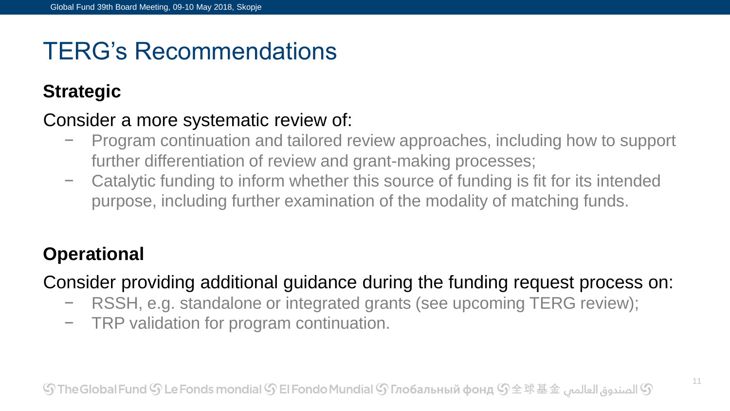# TERG's Recommendations

### **Strategic**

#### Consider a more systematic review of:

- − Program continuation and tailored review approaches, including how to support further differentiation of review and grant-making processes;
- − Catalytic funding to inform whether this source of funding is fit for its intended purpose, including further examination of the modality of matching funds.

### **Operational**

Consider providing additional guidance during the funding request process on:

- − RSSH, e.g. standalone or integrated grants (see upcoming TERG review);
- − TRP validation for program continuation.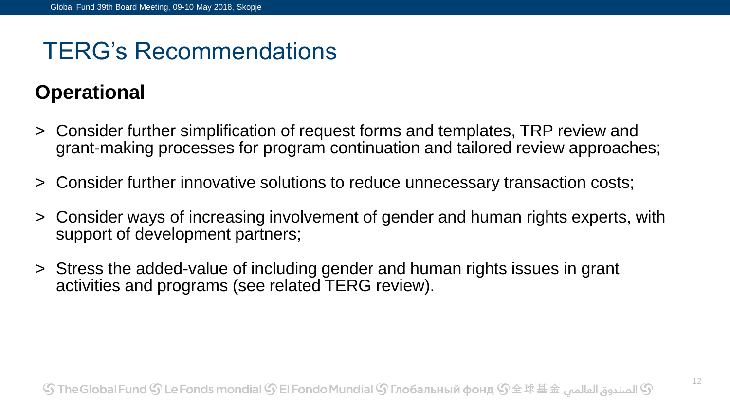## TERG's Recommendations

### **Operational**

- > Consider further simplification of request forms and templates, TRP review and grant-making processes for program continuation and tailored review approaches;
- > Consider further innovative solutions to reduce unnecessary transaction costs;
- > Consider ways of increasing involvement of gender and human rights experts, with support of development partners;
- > Stress the added-value of including gender and human rights issues in grant activities and programs (see related TERG review).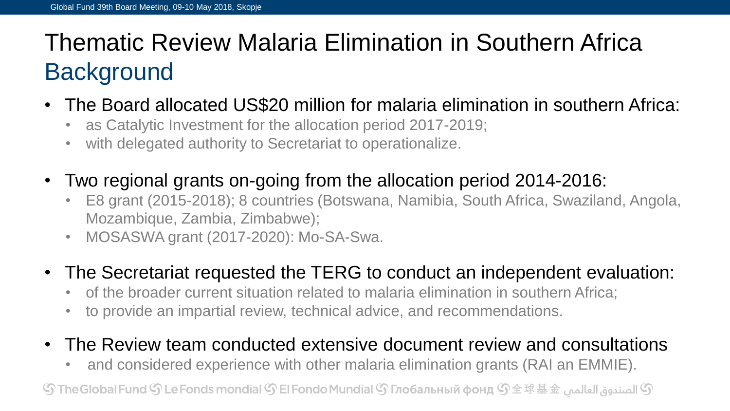# Thematic Review Malaria Elimination in Southern Africa **Background**

- The Board allocated US\$20 million for malaria elimination in southern Africa:
	- as Catalytic Investment for the allocation period 2017-2019;
	- with delegated authority to Secretariat to operationalize.
- Two regional grants on-going from the allocation period 2014-2016:
	- E8 grant (2015-2018); 8 countries (Botswana, Namibia, South Africa, Swaziland, Angola, Mozambique, Zambia, Zimbabwe);
	- MOSASWA grant (2017-2020): Mo-SA-Swa.
- The Secretariat requested the TERG to conduct an independent evaluation:
	- of the broader current situation related to malaria elimination in southern Africa;
	- to provide an impartial review, technical advice, and recommendations.
- The Review team conducted extensive document review and consultations
	- and considered experience with other malaria elimination grants (RAI an EMMIE).

 ${\mathbb S}$  الصندوق العالمي  ${\mathbb S}$  The Global Fund  ${\mathbb S}$  Le Fonds mondial  ${\mathbb S}$  El Fondo Mundial  ${\mathbb S}$  Глобальный фонд  ${\mathbb S}$   $\pm$   $\mathbb R$   $\pm$   $\pm$   $\pm$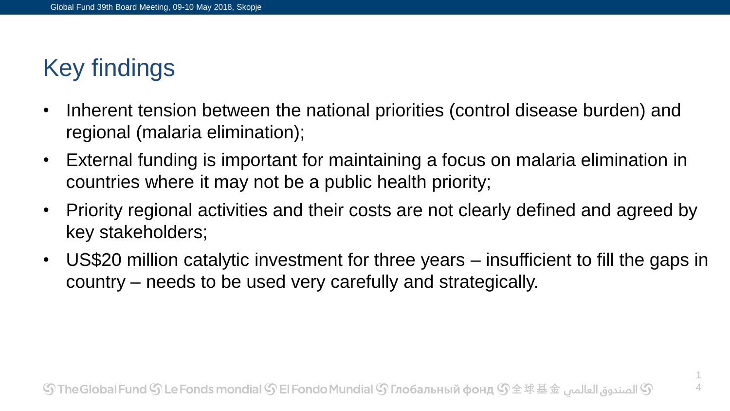# Key findings

- Inherent tension between the national priorities (control disease burden) and regional (malaria elimination);
- External funding is important for maintaining a focus on malaria elimination in countries where it may not be a public health priority;
- Priority regional activities and their costs are not clearly defined and agreed by key stakeholders;
- US\$20 million catalytic investment for three years insufficient to fill the gaps in country – needs to be used very carefully and strategically.

1 4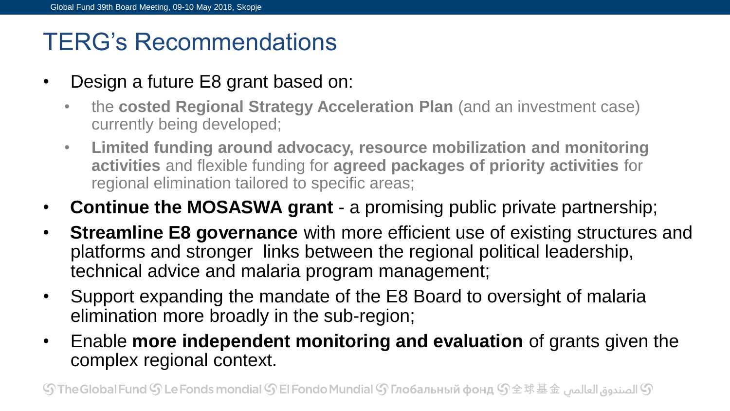## TERG's Recommendations

- Design a future E8 grant based on:
	- the **costed Regional Strategy Acceleration Plan** (and an investment case) currently being developed;
	- **Limited funding around advocacy, resource mobilization and monitoring activities** and flexible funding for **agreed packages of priority activities** for regional elimination tailored to specific areas;
- **Continue the MOSASWA grant** a promising public private partnership;
- **Streamline E8 governance** with more efficient use of existing structures and platforms and stronger links between the regional political leadership, technical advice and malaria program management;
- Support expanding the mandate of the E8 Board to oversight of malaria elimination more broadly in the sub-region;
- Enable **more independent monitoring and evaluation** of grants given the complex regional context.

 ${\mathbb S}$  الصندوق العالمي  ${\mathbb S}$  The Global Fund  ${\mathbb S}$  Le Fonds mondial  ${\mathbb S}$  El Fondo Mundial  ${\mathbb S}$  Глобальный фонд  ${\mathbb S}$   $\pm$   $\mathbb R$   $\pm$   $\pm$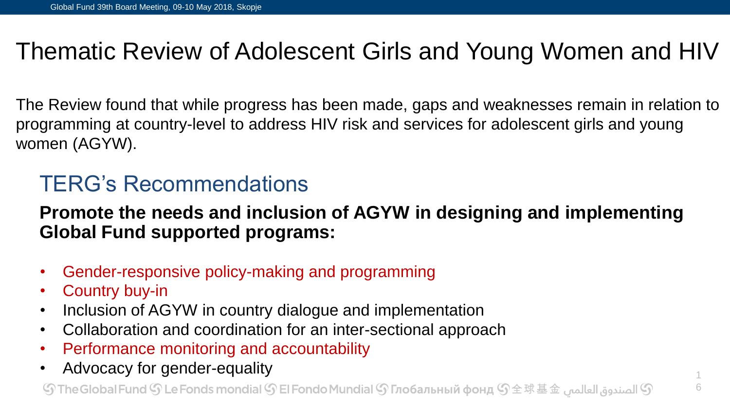## Thematic Review of Adolescent Girls and Young Women and HIV

The Review found that while progress has been made, gaps and weaknesses remain in relation to programming at country-level to address HIV risk and services for adolescent girls and young women (AGYW).

## TERG's Recommendations

#### **Promote the needs and inclusion of AGYW in designing and implementing Global Fund supported programs:**

- Gender-responsive policy-making and programming
- Country buy-in
- Inclusion of AGYW in country dialogue and implementation
- Collaboration and coordination for an inter-sectional approach
- Performance monitoring and accountability
- Advocacy for gender-equality

 ${\mathbb S}$  الصندوق العالمي  ${\mathbb S}$  The Global Fund  ${\mathbb S}$  Le Fonds mondial  ${\mathbb S}$  El Fondo Mundial  ${\mathbb S}$  Глобальный фонд  ${\mathbb S}$   $\pm$   $\mathbb R$   $\pm$   $\pm$   $\pm$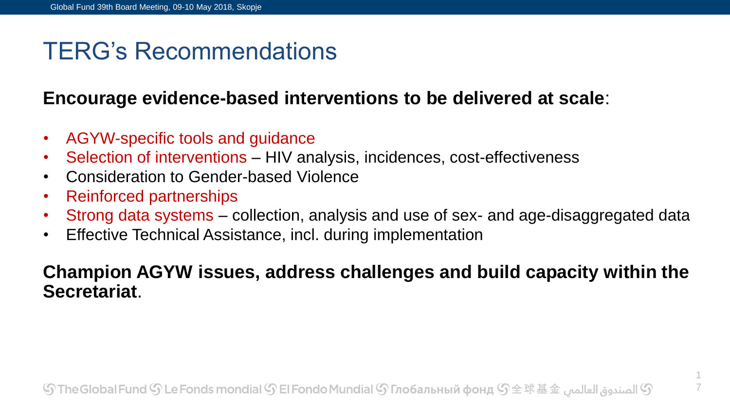## TERG's Recommendations

#### **Encourage evidence-based interventions to be delivered at scale**:

- AGYW-specific tools and guidance
- Selection of interventions HIV analysis, incidences, cost-effectiveness
- Consideration to Gender-based Violence
- Reinforced partnerships
- Strong data systems collection, analysis and use of sex- and age-disaggregated data
- Effective Technical Assistance, incl. during implementation

#### **Champion AGYW issues, address challenges and build capacity within the Secretariat**.

1 7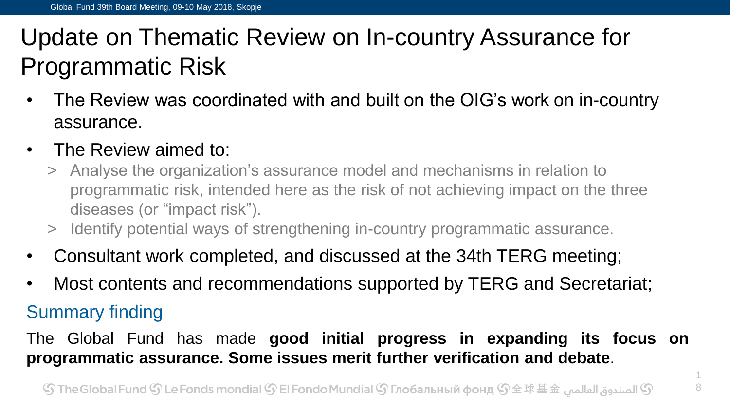# Update on Thematic Review on In-country Assurance for Programmatic Risk

- The Review was coordinated with and built on the OIG's work on in-country assurance.
- The Review aimed to:
	- > Analyse the organization's assurance model and mechanisms in relation to programmatic risk, intended here as the risk of not achieving impact on the three diseases (or "impact risk").
	- > Identify potential ways of strengthening in-country programmatic assurance.
- Consultant work completed, and discussed at the 34th TERG meeting;
- Most contents and recommendations supported by TERG and Secretariat;

### Summary finding

The Global Fund has made **good initial progress in expanding its focus on programmatic assurance. Some issues merit further verification and debate**.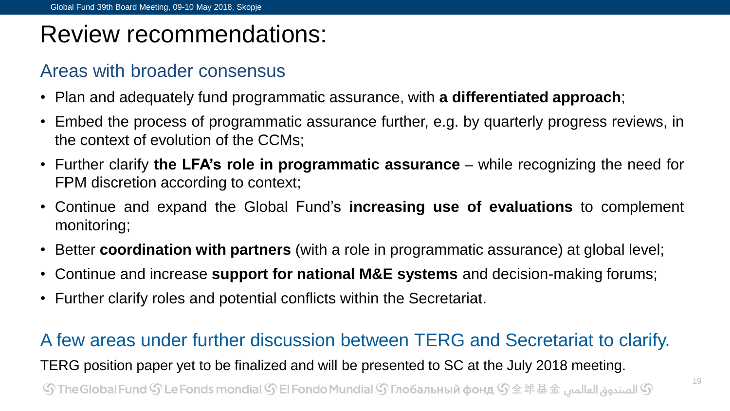## Review recommendations:

#### Areas with broader consensus

- Plan and adequately fund programmatic assurance, with **a differentiated approach**;
- Embed the process of programmatic assurance further, e.g. by quarterly progress reviews, in the context of evolution of the CCMs;
- Further clarify **the LFA's role in programmatic assurance** while recognizing the need for FPM discretion according to context;
- Continue and expand the Global Fund's **increasing use of evaluations** to complement monitoring;
- Better **coordination with partners** (with a role in programmatic assurance) at global level;
- Continue and increase **support for national M&E systems** and decision-making forums;
- Further clarify roles and potential conflicts within the Secretariat.

#### A few areas under further discussion between TERG and Secretariat to clarify.

TERG position paper yet to be finalized and will be presented to SC at the July 2018 meeting.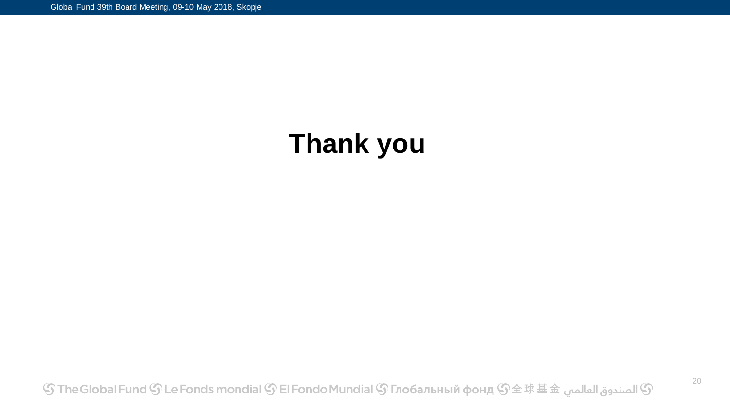# **Thank you**